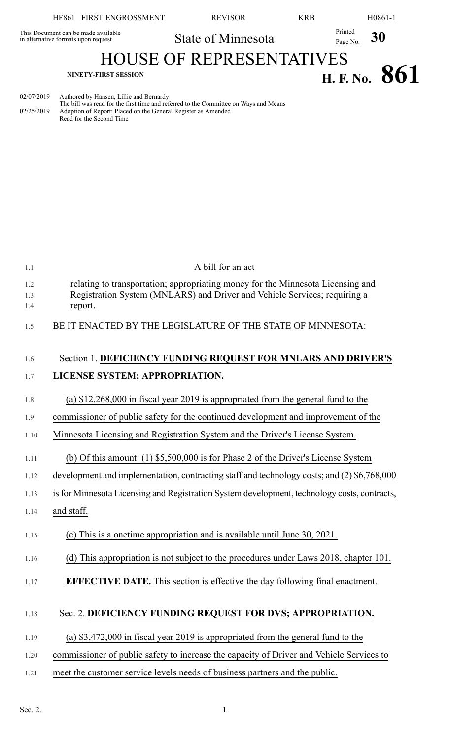| HF861 FIRST ENGROSSMENT                                                    | <b>REVISOR</b>                  | <b>KRB</b>                         | H0861-1 |
|----------------------------------------------------------------------------|---------------------------------|------------------------------------|---------|
| This Document can be made available<br>in alternative formats upon request | State of Minnesota              | Printed<br>Page No.                | 30      |
|                                                                            | <b>HOUSE OF REPRESENTATIVES</b> |                                    |         |
| NINETY-FIRST SESSION                                                       |                                 | $\mathbf{H} \mathbf{F} \mathbf{N}$ |         |

**H. F.** No. **861** 

02/07/2019 Authored by Hansen, Lillie and Bernardy The bill was read for the first time and referred to the Committee on Ways and Means 02/25/2019 Adoption of Report: Placed on the General Register as Amended Read for the Second Time

| 1.1        | A bill for an act                                                                                                                                            |
|------------|--------------------------------------------------------------------------------------------------------------------------------------------------------------|
| 1.2<br>1.3 | relating to transportation; appropriating money for the Minnesota Licensing and<br>Registration System (MNLARS) and Driver and Vehicle Services; requiring a |
| 1.4        | report.                                                                                                                                                      |
| 1.5        | BE IT ENACTED BY THE LEGISLATURE OF THE STATE OF MINNESOTA:                                                                                                  |
| 1.6        | Section 1. DEFICIENCY FUNDING REQUEST FOR MNLARS AND DRIVER'S                                                                                                |
| 1.7        | LICENSE SYSTEM; APPROPRIATION.                                                                                                                               |
| 1.8        | (a) $$12,268,000$ in fiscal year 2019 is appropriated from the general fund to the                                                                           |
| 1.9        | commissioner of public safety for the continued development and improvement of the                                                                           |
| 1.10       | Minnesota Licensing and Registration System and the Driver's License System.                                                                                 |
| 1.11       | (b) Of this amount: $(1)$ \$5,500,000 is for Phase 2 of the Driver's License System                                                                          |
| 1.12       | development and implementation, contracting staff and technology costs; and (2) \$6,768,000                                                                  |
| 1.13       | is for Minnesota Licensing and Registration System development, technology costs, contracts,                                                                 |
| 1.14       | and staff.                                                                                                                                                   |
| 1.15       | (c) This is a onetime appropriation and is available until June 30, 2021.                                                                                    |
| 1.16       | (d) This appropriation is not subject to the procedures under Laws 2018, chapter 101.                                                                        |
| 1.17       | <b>EFFECTIVE DATE.</b> This section is effective the day following final enactment.                                                                          |
| 1.18       | Sec. 2. DEFICIENCY FUNDING REQUEST FOR DVS; APPROPRIATION.                                                                                                   |
|            |                                                                                                                                                              |
| 1.19       | (a) $$3,472,000$ in fiscal year 2019 is appropriated from the general fund to the                                                                            |
| 1.20       | commissioner of public safety to increase the capacity of Driver and Vehicle Services to                                                                     |
| 1.21       | meet the customer service levels needs of business partners and the public.                                                                                  |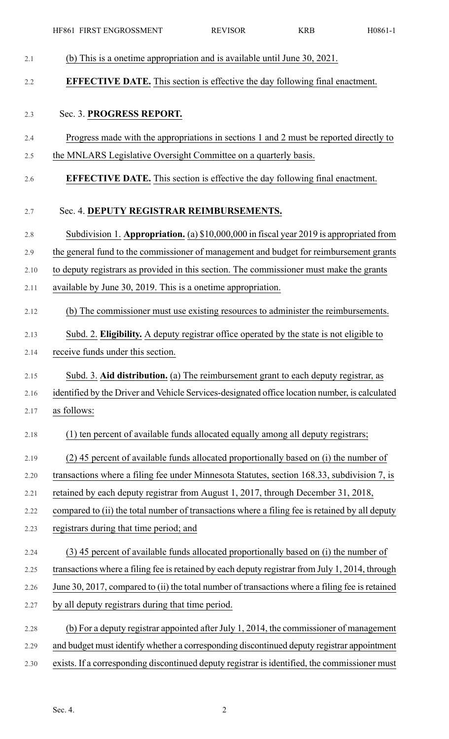|      | HF861 FIRST ENGROSSMENT                                                                         | <b>REVISOR</b> | <b>KRB</b> | H0861-1 |
|------|-------------------------------------------------------------------------------------------------|----------------|------------|---------|
| 2.1  | (b) This is a onetime appropriation and is available until June 30, 2021.                       |                |            |         |
| 2.2  | <b>EFFECTIVE DATE.</b> This section is effective the day following final enactment.             |                |            |         |
| 2.3  | Sec. 3. PROGRESS REPORT.                                                                        |                |            |         |
| 2.4  | Progress made with the appropriations in sections 1 and 2 must be reported directly to          |                |            |         |
| 2.5  | the MNLARS Legislative Oversight Committee on a quarterly basis.                                |                |            |         |
| 2.6  | <b>EFFECTIVE DATE.</b> This section is effective the day following final enactment.             |                |            |         |
| 2.7  | Sec. 4. DEPUTY REGISTRAR REIMBURSEMENTS.                                                        |                |            |         |
| 2.8  | Subdivision 1. Appropriation. (a) \$10,000,000 in fiscal year 2019 is appropriated from         |                |            |         |
| 2.9  | the general fund to the commissioner of management and budget for reimbursement grants          |                |            |         |
| 2.10 | to deputy registrars as provided in this section. The commissioner must make the grants         |                |            |         |
| 2.11 | available by June 30, 2019. This is a onetime appropriation.                                    |                |            |         |
| 2.12 | (b) The commissioner must use existing resources to administer the reimbursements.              |                |            |         |
| 2.13 | Subd. 2. Eligibility. A deputy registrar office operated by the state is not eligible to        |                |            |         |
| 2.14 | receive funds under this section                                                                |                |            |         |
| 2.15 | Subd. 3. Aid distribution. (a) The reimbursement grant to each deputy registrar, as             |                |            |         |
| 2.16 | identified by the Driver and Vehicle Services-designated office location number, is calculated  |                |            |         |
| 2.17 | as follows:                                                                                     |                |            |         |
| 2.18 | (1) ten percent of available funds allocated equally among all deputy registrars;               |                |            |         |
| 2.19 | (2) 45 percent of available funds allocated proportionally based on (i) the number of           |                |            |         |
| 2.20 | transactions where a filing fee under Minnesota Statutes, section 168.33, subdivision 7, is     |                |            |         |
| 2.21 | retained by each deputy registrar from August 1, 2017, through December 31, 2018,               |                |            |         |
| 2.22 | compared to (ii) the total number of transactions where a filing fee is retained by all deputy  |                |            |         |
| 2.23 | registrars during that time period; and                                                         |                |            |         |
| 2.24 | (3) 45 percent of available funds allocated proportionally based on (i) the number of           |                |            |         |
| 2.25 | transactions where a filing fee is retained by each deputy registrar from July 1, 2014, through |                |            |         |
| 2.26 | June 30, 2017, compared to (ii) the total number of transactions where a filing fee is retained |                |            |         |
| 2.27 | by all deputy registrars during that time period.                                               |                |            |         |
| 2.28 | (b) For a deputy registrar appointed after July 1, 2014, the commissioner of management         |                |            |         |
| 2.29 | and budget must identify whether a corresponding discontinued deputy registrar appointment      |                |            |         |
| 2.30 | exists. If a corresponding discontinued deputy registrar is identified, the commissioner must   |                |            |         |